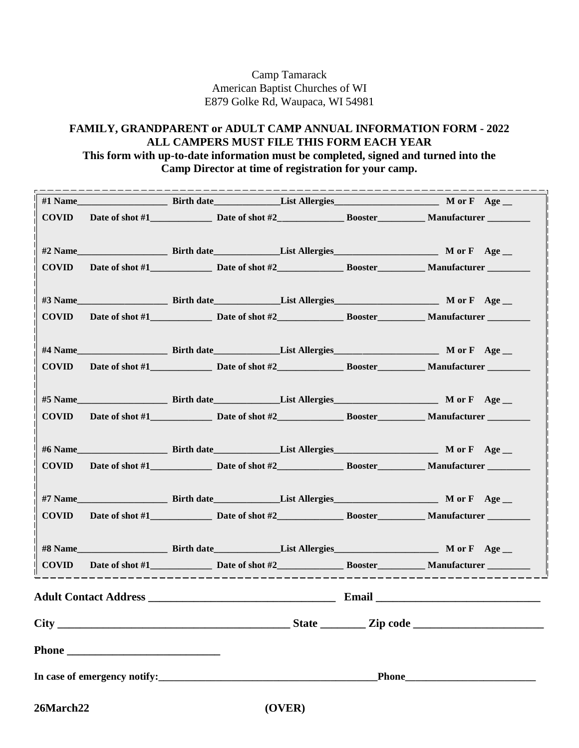Camp Tamarack American Baptist Churches of WI E879 Golke Rd, Waupaca, WI 54981

## **FAMILY, GRANDPARENT or ADULT CAMP ANNUAL INFORMATION FORM - 2022 ALL CAMPERS MUST FILE THIS FORM EACH YEAR This form with up-to-date information must be completed, signed and turned into the Camp Director at time of registration for your camp.**

|                                                |                                                                   | _ _ _ _ _ _ _ _ _ |  |
|------------------------------------------------|-------------------------------------------------------------------|-------------------|--|
| <b>COVID</b>                                   |                                                                   |                   |  |
|                                                |                                                                   |                   |  |
|                                                |                                                                   |                   |  |
| <b>COVID</b>                                   | Date of shot #1 Date of shot #2 Booster Manufacturer              |                   |  |
|                                                |                                                                   |                   |  |
| <b>COVID</b>                                   | Date of shot #1 Date of shot #2 Booster Manufacturer Manufacturer |                   |  |
|                                                |                                                                   |                   |  |
| <b>COVID</b>                                   | Date of shot #1 Date of shot #2 Booster Manufacturer              |                   |  |
|                                                |                                                                   |                   |  |
| #5 Name Birth date List Allergies M or F Age _ |                                                                   |                   |  |
| <b>COVID</b>                                   | Date of shot #1 Date of shot #2 Booster Manufacturer              |                   |  |
|                                                |                                                                   |                   |  |
| <b>COVID</b>                                   |                                                                   |                   |  |
|                                                |                                                                   |                   |  |
|                                                |                                                                   |                   |  |
| <b>COVID</b>                                   | Date of shot #1 Date of shot #2 Booster Manufacturer              |                   |  |
|                                                |                                                                   |                   |  |
|                                                |                                                                   |                   |  |
|                                                |                                                                   |                   |  |
|                                                |                                                                   |                   |  |
|                                                |                                                                   |                   |  |
|                                                |                                                                   |                   |  |
| 26March22                                      |                                                                   | (OVER)            |  |